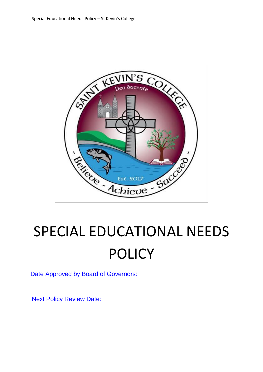

# SPECIAL EDUCATIONAL NEEDS POLICY

Date Approved by Board of Governors:

Next Policy Review Date: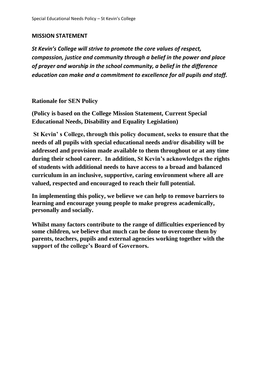#### **MISSION STATEMENT**

*St Kevin's College will strive to promote the core values of respect, compassion, justice and community through a belief in the power and place of prayer and worship in the school community, a belief in the difference education can make and a commitment to excellence for all pupils and staff.*

**Rationale for SEN Policy**

**(Policy is based on the College Mission Statement, Current Special Educational Needs, Disability and Equality Legislation)**

**St Kevin' s College, through this policy document, seeks to ensure that the needs of all pupils with special educational needs and/or disability will be addressed and provision made available to them throughout or at any time during their school career. In addition, St Kevin's acknowledges the rights of students with additional needs to have access to a broad and balanced curriculum in an inclusive, supportive, caring environment where all are valued, respected and encouraged to reach their full potential.**

**In implementing this policy, we believe we can help to remove barriers to learning and encourage young people to make progress academically, personally and socially.**

**Whilst many factors contribute to the range of difficulties experienced by some children, we believe that much can be done to overcome them by parents, teachers, pupils and external agencies working together with the support of the college's Board of Governors.**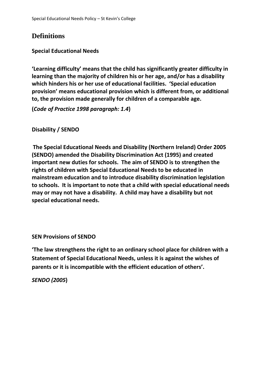## **Definitions**

## **Special Educational Needs**

**'Learning difficulty' means that the child has significantly greater difficulty in learning than the majority of children his or her age, and/or has a disability which hinders his or her use of educational facilities. 'Special education provision' means educational provision which is different from, or additional to, the provision made generally for children of a comparable age.**

**(***Code of Practice 1998 paragraph: 1.4***)**

**Disability / SENDO**

**The Special Educational Needs and Disability (Northern Ireland) Order 2005 (SENDO) amended the Disability Discrimination Act (1995) and created important new duties for schools. The aim of SENDO is to strengthen the rights of children with Special Educational Needs to be educated in mainstream education and to introduce disability discrimination legislation to schools. It is important to note that a child with special educational needs may or may not have a disability. A child may have a disability but not special educational needs.**

## **SEN Provisions of SENDO**

**'The law strengthens the right to an ordinary school place for children with a Statement of Special Educational Needs, unless it is against the wishes of parents or it is incompatible with the efficient education of others'.**

*SENDO (2005***)**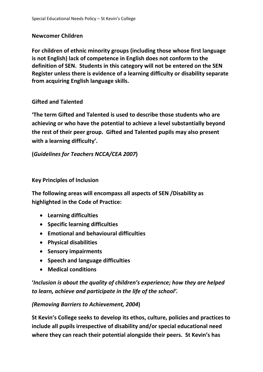#### **Newcomer Children**

**For children of ethnic minority groups (including those whose first language is not English) lack of competence in English does not conform to the definition of SEN. Students in this category will not be entered on the SEN Register unless there is evidence of a learning difficulty or disability separate from acquiring English language skills.**

## **Gifted and Talented**

**'The term Gifted and Talented is used to describe those students who are achieving or who have the potential to achieve a level substantially beyond the rest of their peer group. Gifted and Talented pupils may also present with a learning difficulty'.**

**(***Guidelines for Teachers NCCA/CEA 2007***)**

## **Key Principles of Inclusion**

**The following areas will encompass all aspects of SEN /Disability as highlighted in the Code of Practice:**

- **Learning difficulties**
- **Specific learning difficulties**
- **Emotional and behavioural difficulties**
- **Physical disabilities**
- **•** Sensory impairments
- **Speech and language difficulties**
- **Medical conditions**

**'***Inclusion is about the quality of children's experience; how they are helped to learn, achieve and participate in the life of the school'.*

#### *(Removing Barriers to Achievement, 2004***)**

**St Kevin's College seeks to develop its ethos, culture, policies and practices to include all pupils irrespective of disability and/or special educational need where they can reach their potential alongside their peers. St Kevin's has**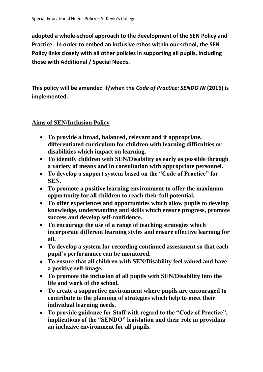**adopted a whole-school approach to the development of the SEN Policy and Practice. In order to embed an inclusive ethos within our school, the SEN Policy links closely with all other policies in supporting all pupils, including those with Additional / Special Needs.** 

**This policy will be amended if/when the** *Code of Practice: SENDO NI* **(2016) is implemented.**

## **Aims of SEN/Inclusion Policy**

- **To provide a broad, balanced, relevant and if appropriate, differentiated curriculum for children with learning difficulties or disabilities which impact on learning.**
- **To identify children with SEN/Disability as early as possible through a variety of means and in consultation with appropriate personnel.**
- **To develop a support system based on the "Code of Practice" for SEN.**
- **To promote a positive learning environment to offer the maximum opportunity for all children to reach their full potential.**
- **To offer experiences and opportunities which allow pupils to develop knowledge, understanding and skills which ensure progress, promote success and develop self-confidence.**
- **To encourage the use of a range of teaching strategies which incorporate different learning styles and ensure effective learning for all.**
- **To develop a system for recording continued assessment so that each pupil's performance can be monitored.**
- **To ensure that all children with SEN/Disability feel valued and have a positive self-image.**
- **To promote the inclusion of all pupils with SEN/Disability into the life and work of the school.**
- **To create a supportive environment where pupils are encouraged to contribute to the planning of strategies which help to meet their individual learning needs.**
- **To provide guidance for Staff with regard to the "Code of Practice", implications of the "SENDO" legislation and their role in providing an inclusive environment for all pupils.**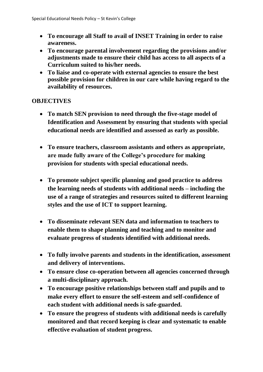- **To encourage all Staff to avail of INSET Training in order to raise awareness.**
- **To encourage parental involvement regarding the provisions and/or adjustments made to ensure their child has access to all aspects of a Curriculum suited to his/her needs.**
- **To liaise and co-operate with external agencies to ensure the best possible provision for children in our care while having regard to the availability of resources.**

## **OBJECTIVES**

- **To match SEN provision to need through the five-stage model of Identification and Assessment by ensuring that students with special educational needs are identified and assessed as early as possible.**
- **To ensure teachers, classroom assistants and others as appropriate, are made fully aware of the College's procedure for making provision for students with special educational needs.**
- **To promote subject specific planning and good practice to address the learning needs of students with additional needs – including the use of a range of strategies and resources suited to different learning styles and the use of ICT to support learning.**
- **To disseminate relevant SEN data and information to teachers to enable them to shape planning and teaching and to monitor and evaluate progress of students identified with additional needs.**
- **To fully involve parents and students in the identification, assessment and delivery of interventions.**
- **To ensure close co-operation between all agencies concerned through a multi-disciplinary approach.**
- **To encourage positive relationships between staff and pupils and to make every effort to ensure the self-esteem and self-confidence of each student with additional needs is safe-guarded.**
- **To ensure the progress of students with additional needs is carefully monitored and that record keeping is clear and systematic to enable effective evaluation of student progress.**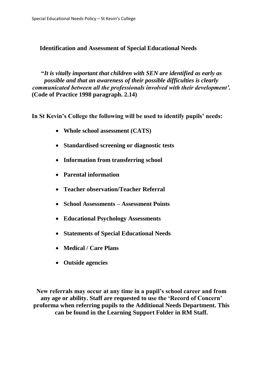#### **Identification and Assessment of Special Educational Needs**

**"***It is vitally important that children with SEN are identified as early as possible and that an awareness of their possible difficulties is clearly communicated between all the professionals involved with their development'.* **(Code of Practice 1998 paragraph. 2.14)**

**In St Kevin's College the following will be used to identify pupils' needs:**

- **Whole school assessment (CATS)**
- **Standardised screening or diagnostic tests**
- **Information from transferring school**
- **Parental information**
- **Teacher observation/Teacher Referral**
- **School Assessments – Assessment Points**
- **Educational Psychology Assessments**
- **Statements of Special Educational Needs**
- **Medical / Care Plans**
- **Outside agencies**

**New referrals may occur at any time in a pupil's school career and from any age or ability. Staff are requested to use the 'Record of Concern' proforma when referring pupils to the Additional Needs Department. This can be found in the Learning Support Folder in RM Staff.**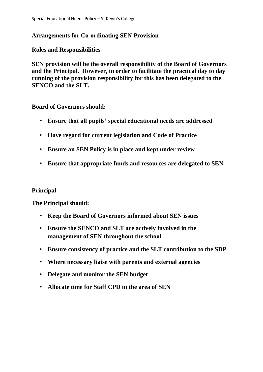#### **Arrangements for Co-ordinating SEN Provision**

#### **Roles and Responsibilities**

**SEN provision will be the overall responsibility of the Board of Governors and the Principal. However, in order to facilitate the practical day to day running of the provision responsibility for this has been delegated to the SENCO and the SLT.**

#### **Board of Governors should:**

- **Ensure that all pupils' special educational needs are addressed**
- **Have regard for current legislation and Code of Practice**
- **Ensure an SEN Policy is in place and kept under review**
- **Ensure that appropriate funds and resources are delegated to SEN**

#### **Principal**

**The Principal should:**

- **Keep the Board of Governors informed about SEN issues**
- **Ensure the SENCO and SLT are actively involved in the management of SEN throughout the school**
- **Ensure consistency of practice and the SLT contribution to the SDP**
- **Where necessary liaise with parents and external agencies**
- **Delegate and monitor the SEN budget**
- **Allocate time for Staff CPD in the area of SEN**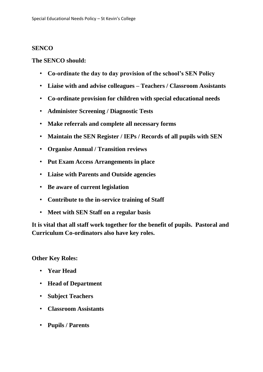#### **SENCO**

**The SENCO should:**

- **Co-ordinate the day to day provision of the school's SEN Policy**
- **Liaise with and advise colleagues – Teachers / Classroom Assistants**
- **Co-ordinate provision for children with special educational needs**
- **Administer Screening / Diagnostic Tests**
- **Make referrals and complete all necessary forms**
- **Maintain the SEN Register / IEPs / Records of all pupils with SEN**
- **Organise Annual / Transition reviews**
- **Put Exam Access Arrangements in place**
- **Liaise with Parents and Outside agencies**
- **Be aware of current legislation**
- **Contribute to the in-service training of Staff**
- **Meet with SEN Staff on a regular basis**

**It is vital that all staff work together for the benefit of pupils. Pastoral and Curriculum Co-ordinators also have key roles.**

**Other Key Roles:**

- **Year Head**
- **Head of Department**
- **Subject Teachers**
- **Classroom Assistants**
- **Pupils / Parents**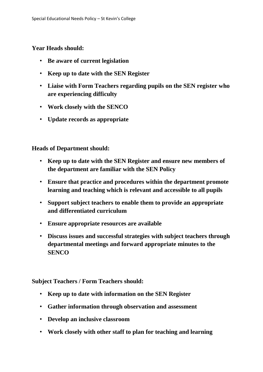**Year Heads should:**

- **Be aware of current legislation**
- **Keep up to date with the SEN Register**
- **Liaise with Form Teachers regarding pupils on the SEN register who are experiencing difficulty**
- **Work closely with the SENCO**
- **Update records as appropriate**

**Heads of Department should:**

- **Keep up to date with the SEN Register and ensure new members of the department are familiar with the SEN Policy**
- **Ensure that practice and procedures within the department promote learning and teaching which is relevant and accessible to all pupils**
- **Support subject teachers to enable them to provide an appropriate and differentiated curriculum**
- **Ensure appropriate resources are available**
- **Discuss issues and successful strategies with subject teachers through departmental meetings and forward appropriate minutes to the SENCO**

**Subject Teachers / Form Teachers should:**

- **Keep up to date with information on the SEN Register**
- **Gather information through observation and assessment**
- **Develop an inclusive classroom**
- **Work closely with other staff to plan for teaching and learning**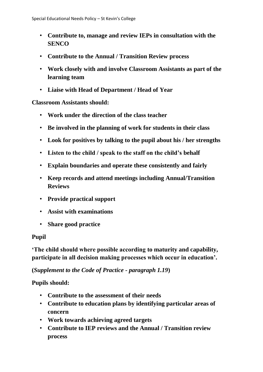- **Contribute to, manage and review IEPs in consultation with the SENCO**
- **Contribute to the Annual / Transition Review process**
- **Work closely with and involve Classroom Assistants as part of the learning team**
- **Liaise with Head of Department / Head of Year**

**Classroom Assistants should:**

- **Work under the direction of the class teacher**
- **Be involved in the planning of work for students in their class**
- **Look for positives by talking to the pupil about his / her strengths**
- **Listen to the child / speak to the staff on the child's behalf**
- **Explain boundaries and operate these consistently and fairly**
- **Keep records and attend meetings including Annual/Transition Reviews**
- **Provide practical support**
- **Assist with examinations**
- **Share good practice**

#### **Pupil**

**'The child should where possible according to maturity and capability, participate in all decision making processes which occur in education'.**

**(***Supplement to the Code of Practice - paragraph 1.19***)**

**Pupils should:**

- **Contribute to the assessment of their needs**
- **Contribute to education plans by identifying particular areas of concern**
- **Work towards achieving agreed targets**
- **Contribute to IEP reviews and the Annual / Transition review process**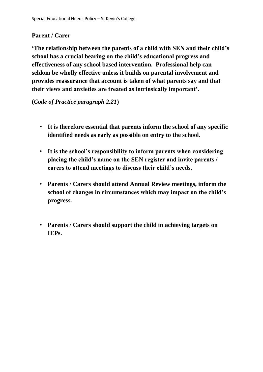## **Parent / Carer**

**'The relationship between the parents of a child with SEN and their child's school has a crucial bearing on the child's educational progress and effectiveness of any school based intervention. Professional help can seldom be wholly effective unless it builds on parental involvement and provides reassurance that account is taken of what parents say and that their views and anxieties are treated as intrinsically important'.**

**(***Code of Practice paragraph 2.21***)**

- **It is therefore essential that parents inform the school of any specific identified needs as early as possible on entry to the school.**
- **It is the school's responsibility to inform parents when considering placing the child's name on the SEN register and invite parents / carers to attend meetings to discuss their child's needs.**
- **Parents / Carers should attend Annual Review meetings, inform the school of changes in circumstances which may impact on the child's progress.**
- **Parents / Carers should support the child in achieving targets on IEPs.**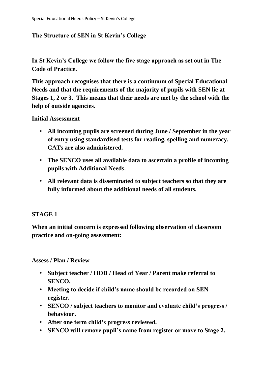## **The Structure of SEN in St Kevin's College**

**In St Kevin's College we follow the five stage approach as set out in The Code of Practice.**

**This approach recognises that there is a continuum of Special Educational Needs and that the requirements of the majority of pupils with SEN lie at Stages 1, 2 or 3. This means that their needs are met by the school with the help of outside agencies.**

#### **Initial Assessment**

- **All incoming pupils are screened during June / September in the year of entry using standardised tests for reading, spelling and numeracy. CATs are also administered.**
- **The SENCO uses all available data to ascertain a profile of incoming pupils with Additional Needs.**
- **All relevant data is disseminated to subject teachers so that they are fully informed about the additional needs of all students.**

## **STAGE 1**

**When an initial concern is expressed following observation of classroom practice and on-going assessment:**

**Assess / Plan / Review**

- **Subject teacher / HOD / Head of Year / Parent make referral to SENCO.**
- **Meeting to decide if child's name should be recorded on SEN register.**
- **SENCO / subject teachers to monitor and evaluate child's progress / behaviour.**
- **After one term child's progress reviewed.**
- **SENCO will remove pupil's name from register or move to Stage 2.**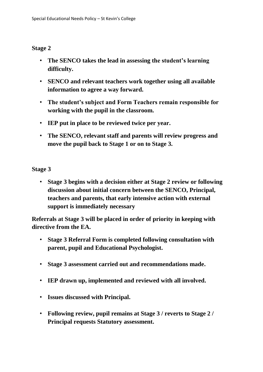#### **Stage 2**

- **The SENCO takes the lead in assessing the student's learning difficulty.**
- **SENCO and relevant teachers work together using all available information to agree a way forward.**
- **The student's subject and Form Teachers remain responsible for working with the pupil in the classroom.**
- **IEP put in place to be reviewed twice per year.**
- **The SENCO, relevant staff and parents will review progress and move the pupil back to Stage 1 or on to Stage 3.**

**Stage 3**

• **Stage 3 begins with a decision either at Stage 2 review or following discussion about initial concern between the SENCO, Principal, teachers and parents, that early intensive action with external support is immediately necessary** 

**Referrals at Stage 3 will be placed in order of priority in keeping with directive from the EA.**

- **Stage 3 Referral Form is completed following consultation with parent, pupil and Educational Psychologist.**
- **Stage 3 assessment carried out and recommendations made.**
- **IEP drawn up, implemented and reviewed with all involved.**
- **Issues discussed with Principal.**
- **Following review, pupil remains at Stage 3 / reverts to Stage 2 / Principal requests Statutory assessment.**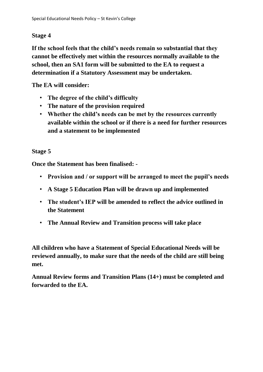## **Stage 4**

**If the school feels that the child's needs remain so substantial that they cannot be effectively met within the resources normally available to the school, then an SA1 form will be submitted to the EA to request a determination if a Statutory Assessment may be undertaken.**

**The EA will consider:**

- **The degree of the child's difficulty**
- **The nature of the provision required**
- **Whether the child's needs can be met by the resources currently available within the school or if there is a need for further resources and a statement to be implemented**

**Stage 5**

**Once the Statement has been finalised: -**

- **Provision and / or support will be arranged to meet the pupil's needs**
- **A Stage 5 Education Plan will be drawn up and implemented**
- **The student's IEP will be amended to reflect the advice outlined in the Statement**
- **The Annual Review and Transition process will take place**

**All children who have a Statement of Special Educational Needs will be reviewed annually, to make sure that the needs of the child are still being met.**

**Annual Review forms and Transition Plans (14+) must be completed and forwarded to the EA.**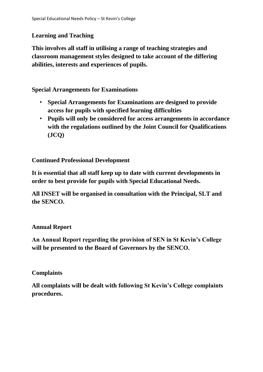## **Learning and Teaching**

**This involves all staff in utilising a range of teaching strategies and classroom management styles designed to take account of the differing abilities, interests and experiences of pupils.** 

**Special Arrangements for Examinations**

- **Special Arrangements for Examinations are designed to provide access for pupils with specified learning difficulties**
- **Pupils will only be considered for access arrangements in accordance with the regulations outlined by the Joint Council for Qualifications (JCQ)**

**Continued Professional Development**

**It is essential that all staff keep up to date with current developments in order to best provide for pupils with Special Educational Needs.**

**All INSET will be organised in consultation with the Principal, SLT and the SENCO.**

## **Annual Report**

**An Annual Report regarding the provision of SEN in St Kevin's College will be presented to the Board of Governors by the SENCO.**

## **Complaints**

**All complaints will be dealt with following St Kevin's College complaints procedures.**